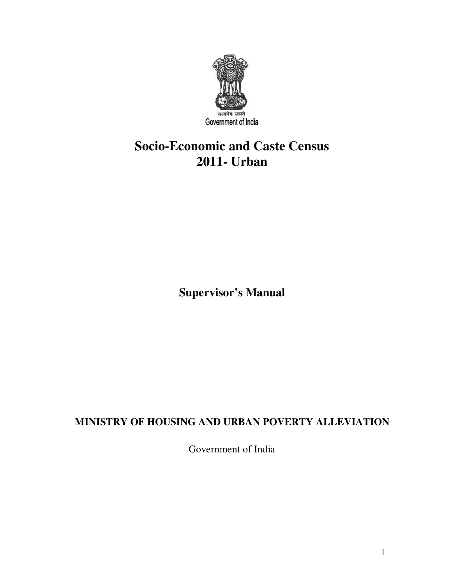

# **Socio-Economic and Caste Census 2011- Urban**

**Supervisor's Manual**

# **MINISTRY OF HOUSING AND URBAN POVERTY ALLEVIATION**

Government of India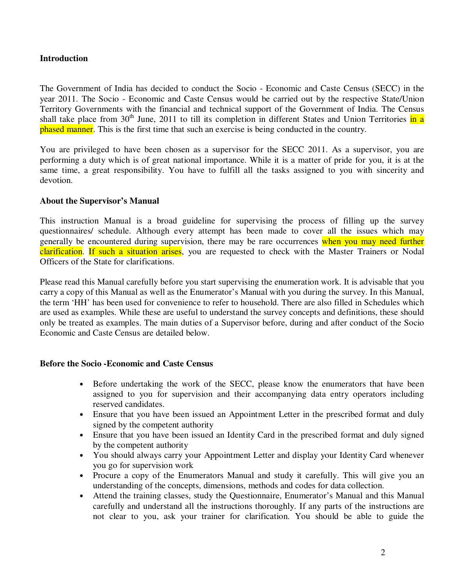#### **Introduction**

The Government of India has decided to conduct the Socio - Economic and Caste Census (SECC) in the year 2011. The Socio - Economic and Caste Census would be carried out by the respective State/Union Territory Governments with the financial and technical support of the Government of India. The Census shall take place from  $30<sup>th</sup>$  June, 2011 to till its completion in different States and Union Territories in a phased manner. This is the first time that such an exercise is being conducted in the country.

You are privileged to have been chosen as a supervisor for the SECC 2011. As a supervisor, you are performing a duty which is of great national importance. While it is a matter of pride for you, it is at the same time, a great responsibility. You have to fulfill all the tasks assigned to you with sincerity and devotion.

#### **About the Supervisor's Manual**

This instruction Manual is a broad guideline for supervising the process of filling up the survey questionnaires/ schedule. Although every attempt has been made to cover all the issues which may generally be encountered during supervision, there may be rare occurrences when you may need further clarification. If such a situation arises, you are requested to check with the Master Trainers or Nodal Officers of the State for clarifications.

Please read this Manual carefully before you start supervising the enumeration work. It is advisable that you carry a copy of this Manual as well as the Enumerator's Manual with you during the survey. In this Manual, the term 'HH' has been used for convenience to refer to household. There are also filled in Schedules which are used as examples. While these are useful to understand the survey concepts and definitions, these should only be treated as examples. The main duties of a Supervisor before, during and after conduct of the Socio Economic and Caste Census are detailed below.

#### **Before the Socio -Economic and Caste Census**

- Before undertaking the work of the SECC, please know the enumerators that have been assigned to you for supervision and their accompanying data entry operators including reserved candidates.
- Ensure that you have been issued an Appointment Letter in the prescribed format and duly signed by the competent authority
- Ensure that you have been issued an Identity Card in the prescribed format and duly signed by the competent authority
- You should always carry your Appointment Letter and display your Identity Card whenever you go for supervision work
- Procure a copy of the Enumerators Manual and study it carefully. This will give you an understanding of the concepts, dimensions, methods and codes for data collection.
- Attend the training classes, study the Questionnaire, Enumerator's Manual and this Manual carefully and understand all the instructions thoroughly. If any parts of the instructions are not clear to you, ask your trainer for clarification. You should be able to guide the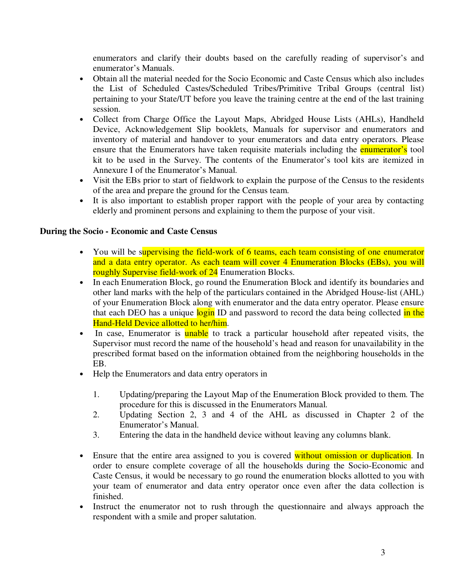enumerators and clarify their doubts based on the carefully reading of supervisor's and enumerator's Manuals.

- Obtain all the material needed for the Socio Economic and Caste Census which also includes the List of Scheduled Castes/Scheduled Tribes/Primitive Tribal Groups (central list) pertaining to your State/UT before you leave the training centre at the end of the last training session.
- Collect from Charge Office the Layout Maps, Abridged House Lists (AHLs), Handheld Device, Acknowledgement Slip booklets, Manuals for supervisor and enumerators and inventory of material and handover to your enumerators and data entry operators. Please ensure that the Enumerators have taken requisite materials including the **enumerator's** tool kit to be used in the Survey. The contents of the Enumerator's tool kits are itemized in Annexure I of the Enumerator's Manual.
- Visit the EBs prior to start of fieldwork to explain the purpose of the Census to the residents of the area and prepare the ground for the Census team.
- It is also important to establish proper rapport with the people of your area by contacting elderly and prominent persons and explaining to them the purpose of your visit.

## **During the Socio - Economic and Caste Census**

- You will be supervising the field-work of 6 teams, each team consisting of one enumerator and a data entry operator. As each team will cover 4 Enumeration Blocks (EBs), you will roughly Supervise field-work of 24 Enumeration Blocks.
- In each Enumeration Block, go round the Enumeration Block and identify its boundaries and other land marks with the help of the particulars contained in the Abridged House-list (AHL) of your Enumeration Block along with enumerator and the data entry operator. Please ensure that each DEO has a unique login ID and password to record the data being collected in the Hand-Held Device allotted to her/him.
- In case, Enumerator is **unable** to track a particular household after repeated visits, the Supervisor must record the name of the household's head and reason for unavailability in the prescribed format based on the information obtained from the neighboring households in the EB.
- Help the Enumerators and data entry operators in
	- 1. Updating/preparing the Layout Map of the Enumeration Block provided to them. The procedure for this is discussed in the Enumerators Manual.
	- 2. Updating Section 2, 3 and 4 of the AHL as discussed in Chapter 2 of the Enumerator's Manual.
	- 3. Entering the data in the handheld device without leaving any columns blank.
- Ensure that the entire area assigned to you is covered without omission or duplication. In order to ensure complete coverage of all the households during the Socio-Economic and Caste Census, it would be necessary to go round the enumeration blocks allotted to you with your team of enumerator and data entry operator once even after the data collection is finished.
- Instruct the enumerator not to rush through the questionnaire and always approach the respondent with a smile and proper salutation.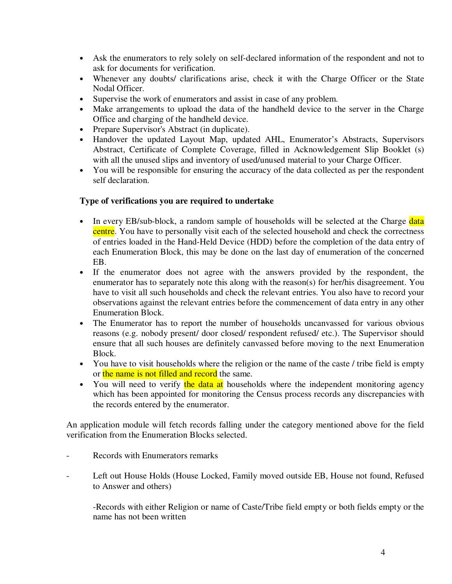- Ask the enumerators to rely solely on self-declared information of the respondent and not to ask for documents for verification.
- Whenever any doubts/ clarifications arise, check it with the Charge Officer or the State Nodal Officer.
- Supervise the work of enumerators and assist in case of any problem.
- Make arrangements to upload the data of the handheld device to the server in the Charge Office and charging of the handheld device.
- Prepare Supervisor's Abstract (in duplicate).
- Handover the updated Layout Map, updated AHL, Enumerator's Abstracts, Supervisors Abstract, Certificate of Complete Coverage, filled in Acknowledgement Slip Booklet (s) with all the unused slips and inventory of used/unused material to your Charge Officer.
- You will be responsible for ensuring the accuracy of the data collected as per the respondent self declaration.

#### **Type of verifications you are required to undertake**

- In every EB/sub-block, a random sample of households will be selected at the Charge data centre. You have to personally visit each of the selected household and check the correctness of entries loaded in the Hand-Held Device (HDD) before the completion of the data entry of each Enumeration Block, this may be done on the last day of enumeration of the concerned EB.
- If the enumerator does not agree with the answers provided by the respondent, the enumerator has to separately note this along with the reason(s) for her/his disagreement. You have to visit all such households and check the relevant entries. You also have to record your observations against the relevant entries before the commencement of data entry in any other Enumeration Block.
- The Enumerator has to report the number of households uncanvassed for various obvious reasons (e.g. nobody present/ door closed/ respondent refused/ etc.). The Supervisor should ensure that all such houses are definitely canvassed before moving to the next Enumeration Block.
- You have to visit households where the religion or the name of the caste / tribe field is empty or the name is not filled and record the same.
- You will need to verify the data at households where the independent monitoring agency which has been appointed for monitoring the Census process records any discrepancies with the records entered by the enumerator.

An application module will fetch records falling under the category mentioned above for the field verification from the Enumeration Blocks selected.

- Records with Enumerators remarks
- Left out House Holds (House Locked, Family moved outside EB, House not found, Refused to Answer and others)

-Records with either Religion or name of Caste/Tribe field empty or both fields empty or the name has not been written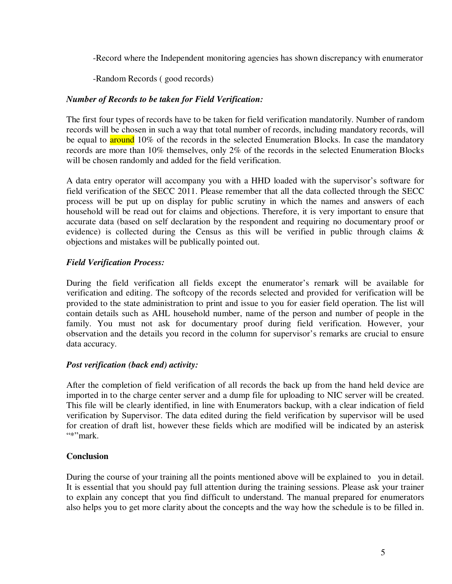-Record where the Independent monitoring agencies has shown discrepancy with enumerator

-Random Records ( good records)

#### *Number of Records to be taken for Field Verification:*

The first four types of records have to be taken for field verification mandatorily. Number of random records will be chosen in such a way that total number of records, including mandatory records, will be equal to **around** 10% of the records in the selected Enumeration Blocks. In case the mandatory records are more than 10% themselves, only 2% of the records in the selected Enumeration Blocks will be chosen randomly and added for the field verification.

A data entry operator will accompany you with a HHD loaded with the supervisor's software for field verification of the SECC 2011. Please remember that all the data collected through the SECC process will be put up on display for public scrutiny in which the names and answers of each household will be read out for claims and objections. Therefore, it is very important to ensure that accurate data (based on self declaration by the respondent and requiring no documentary proof or evidence) is collected during the Census as this will be verified in public through claims & objections and mistakes will be publically pointed out.

## *Field Verification Process:*

During the field verification all fields except the enumerator's remark will be available for verification and editing. The softcopy of the records selected and provided for verification will be provided to the state administration to print and issue to you for easier field operation. The list will contain details such as AHL household number, name of the person and number of people in the family. You must not ask for documentary proof during field verification. However, your observation and the details you record in the column for supervisor's remarks are crucial to ensure data accuracy.

#### *Post verification (back end) activity:*

After the completion of field verification of all records the back up from the hand held device are imported in to the charge center server and a dump file for uploading to NIC server will be created. This file will be clearly identified, in line with Enumerators backup, with a clear indication of field verification by Supervisor. The data edited during the field verification by supervisor will be used for creation of draft list, however these fields which are modified will be indicated by an asterisk  $"$ \*"mark

#### **Conclusion**

During the course of your training all the points mentioned above will be explained to you in detail. It is essential that you should pay full attention during the training sessions. Please ask your trainer to explain any concept that you find difficult to understand. The manual prepared for enumerators also helps you to get more clarity about the concepts and the way how the schedule is to be filled in.